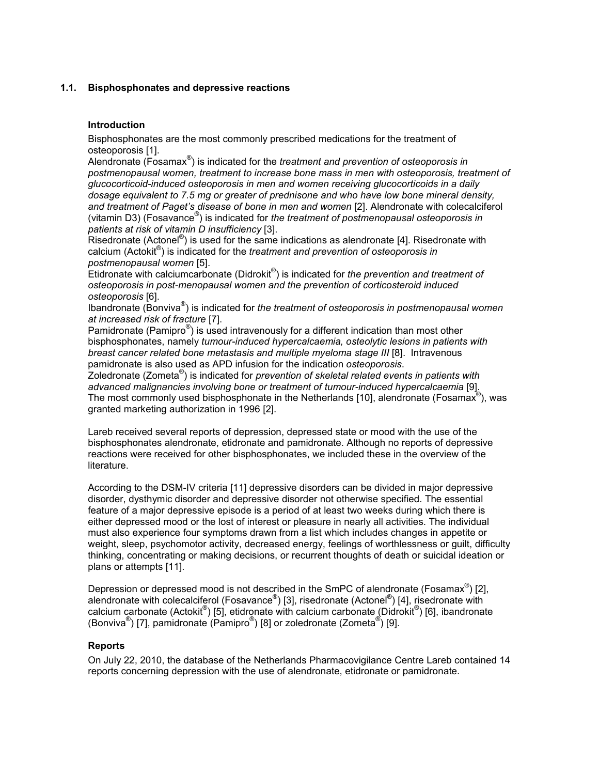## 1.1. Bisphosphonates and depressive reactions

# Introduction

Bisphosphonates are the most commonly prescribed medications for the treatment of osteoporosis [1].

Alendronate (Fosamax<sup>®</sup>) is indicated for the *treatment and prevention of osteoporosis in* postmenopausal women, treatment to increase bone mass in men with osteoporosis, treatment of glucocorticoid-induced osteoporosis in men and women receiving glucocorticoids in a daily dosage equivalent to 7.5 mg or greater of prednisone and who have low bone mineral density, and treatment of Paget's disease of bone in men and women [2]. Alendronate with colecalciferol (vitamin D3) (Fosavance<sup>®</sup>) is indicated for the treatment of postmenopausal osteoporosis in patients at risk of vitamin D insufficiency [3].

Risedronate (Actonel<sup>®</sup>) is used for the same indications as alendronate [4]. Risedronate with calcium (Actokit<sup>®</sup>) is indicated for the treatment and prevention of osteoporosis in postmenopausal women [5].

Etidronate with calciumcarbonate (Didrokit®) is indicated for the prevention and treatment of osteoporosis in post-menopausal women and the prevention of corticosteroid induced osteoporosis [6].

Ibandronate (Bonviva®) is indicated for the treatment of osteoporosis in postmenopausal women at increased risk of fracture [7].

Pamidronate (Pamipro $^{\circ}$ ) is used intravenously for a different indication than most other bisphosphonates, namely tumour-induced hypercalcaemia, osteolytic lesions in patients with breast cancer related bone metastasis and multiple myeloma stage III [8]. Intravenous pamidronate is also used as APD infusion for the indication osteoporosis.

.<br>Zoledronate (Zometa®) is indicated for *prevention of skeletal related events in patients with* advanced malignancies involving bone or treatment of tumour-induced hypercalcaemia [9]. The most commonly used bisphosphonate in the Netherlands [10], alendronate (Fosamax<sup>®</sup>), was granted marketing authorization in 1996 [2].

Lareb received several reports of depression, depressed state or mood with the use of the bisphosphonates alendronate, etidronate and pamidronate. Although no reports of depressive reactions were received for other bisphosphonates, we included these in the overview of the literature.

According to the DSM-IV criteria [11] depressive disorders can be divided in major depressive disorder, dysthymic disorder and depressive disorder not otherwise specified. The essential feature of a major depressive episode is a period of at least two weeks during which there is either depressed mood or the lost of interest or pleasure in nearly all activities. The individual must also experience four symptoms drawn from a list which includes changes in appetite or weight, sleep, psychomotor activity, decreased energy, feelings of worthlessness or guilt, difficulty thinking, concentrating or making decisions, or recurrent thoughts of death or suicidal ideation or plans or attempts [11].

Depression or depressed mood is not described in the SmPC of alendronate (Fosamax $^{\circledast}$ ) [2], alendronate with colecalciferol (Fosavance®) [3], risedronate (Actonel®) [4], risedronate with calcium carbonate (Actokit®) [5], etidronate with calcium carbonate (Didrokit®) [6], ibandronate (Bonviva®) [7], pamidronate (Pamipro®) [8] or zoledronate (Zometa®) [9].

## Reports

On July 22, 2010, the database of the Netherlands Pharmacovigilance Centre Lareb contained 14 reports concerning depression with the use of alendronate, etidronate or pamidronate.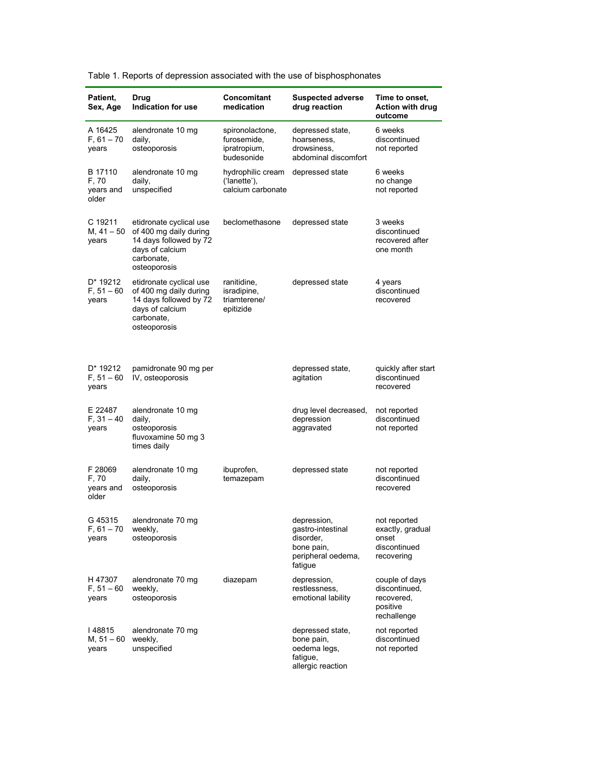| Patient,<br>Sex, Age                   | Drug<br>Indication for use                                                                                                   | Concomitant<br>medication                                    | <b>Suspected adverse</b><br>drug reaction                                                    | Time to onset,<br><b>Action with drug</b><br>outcome                     |
|----------------------------------------|------------------------------------------------------------------------------------------------------------------------------|--------------------------------------------------------------|----------------------------------------------------------------------------------------------|--------------------------------------------------------------------------|
| A 16425<br>$F, 61 - 70$<br>years       | alendronate 10 mg<br>daily,<br>osteoporosis                                                                                  | spironolactone,<br>furosemide,<br>ipratropium,<br>budesonide | depressed state,<br>hoarseness,<br>drowsiness,<br>abdominal discomfort                       | 6 weeks<br>discontinued<br>not reported                                  |
| B 17110<br>F, 70<br>years and<br>older | alendronate 10 mg<br>daily,<br>unspecified                                                                                   | hydrophilic cream<br>('lanette'),<br>calcium carbonate       | depressed state                                                                              | 6 weeks<br>no change<br>not reported                                     |
| C 19211<br>$M, 41 - 50$<br>years       | etidronate cyclical use<br>of 400 mg daily during<br>14 days followed by 72<br>days of calcium<br>carbonate,<br>osteoporosis | beclomethasone                                               | depressed state                                                                              | 3 weeks<br>discontinued<br>recovered after<br>one month                  |
| D* 19212<br>$F, 51 - 60$<br>years      | etidronate cyclical use<br>of 400 mg daily during<br>14 days followed by 72<br>days of calcium<br>carbonate,<br>osteoporosis | ranitidine,<br>isradipine,<br>triamterene/<br>epitizide      | depressed state                                                                              | 4 years<br>discontinued<br>recovered                                     |
| D* 19212<br>$F, 51 - 60$<br>years      | pamidronate 90 mg per<br>IV, osteoporosis                                                                                    |                                                              | depressed state,<br>agitation                                                                | quickly after start<br>discontinued<br>recovered                         |
| E 22487<br>$F, 31 - 40$<br>years       | alendronate 10 mg<br>daily,<br>osteoporosis<br>fluvoxamine 50 mg 3<br>times daily                                            |                                                              | drug level decreased,<br>depression<br>aggravated                                            | not reported<br>discontinued<br>not reported                             |
| F 28069<br>F, 70<br>years and<br>older | alendronate 10 mg<br>daily,<br>osteoporosis                                                                                  | ibuprofen,<br>temazepam                                      | depressed state                                                                              | not reported<br>discontinued<br>recovered                                |
| G 45315<br>$F, 61 - 70$<br>years       | alendronate 70 mg<br>weekly,<br>osteoporosis                                                                                 |                                                              | depression,<br>gastro-intestinal<br>disorder,<br>bone pain,<br>peripheral oedema,<br>fatigue | not reported<br>exactly, gradual<br>onset<br>discontinued<br>recovering  |
| H 47307<br>$F, 51 - 60$<br>years       | alendronate 70 mg<br>weekly,<br>osteoporosis                                                                                 | diazepam                                                     | depression,<br>restlessness,<br>emotional lability                                           | couple of days<br>discontinued,<br>recovered,<br>positive<br>rechallenge |
| 48815<br>$M, 51 - 60$<br>years         | alendronate 70 mg<br>weekly,<br>unspecified                                                                                  |                                                              | depressed state.<br>bone pain,<br>oedema legs,<br>fatigue,<br>allergic reaction              | not reported<br>discontinued<br>not reported                             |

Table 1. Reports of depression associated with the use of bisphosphonates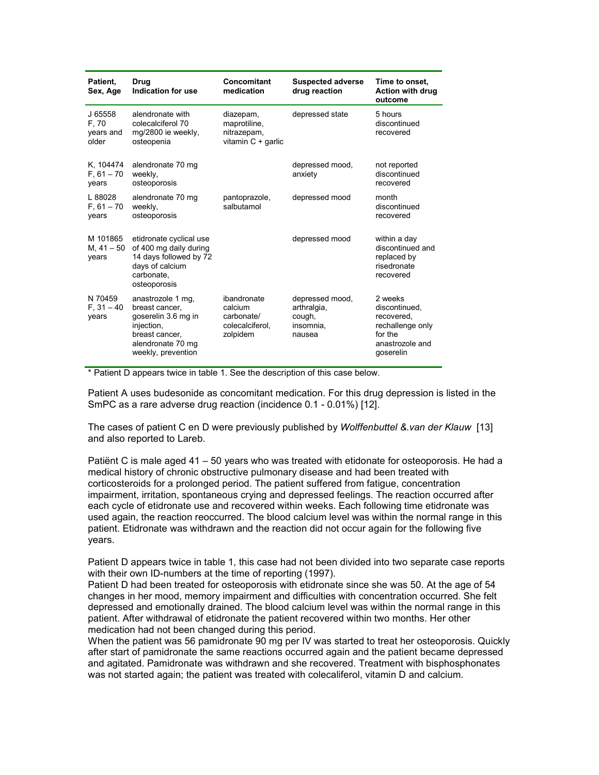| Patient.<br>Sex, Age                   | Drug<br>Indication for use                                                                                                            | Concomitant<br>medication                                           | <b>Suspected adverse</b><br>drug reaction                       | Time to onset.<br><b>Action with drug</b><br>outcome                                                  |
|----------------------------------------|---------------------------------------------------------------------------------------------------------------------------------------|---------------------------------------------------------------------|-----------------------------------------------------------------|-------------------------------------------------------------------------------------------------------|
| J 65558<br>F, 70<br>years and<br>older | alendronate with<br>colecalciferol 70<br>mg/2800 ie weekly,<br>osteopenia                                                             | diazepam,<br>maprotiline,<br>nitrazepam,<br>vitamin $C +$ garlic    | depressed state                                                 | 5 hours<br>discontinued<br>recovered                                                                  |
| K. 104474<br>$F, 61 - 70$<br>years     | alendronate 70 mg<br>weekly,<br>osteoporosis                                                                                          |                                                                     | depressed mood,<br>anxiety                                      | not reported<br>discontinued<br>recovered                                                             |
| L 88028<br>$F, 61 - 70$<br>years       | alendronate 70 mg<br>weekly,<br>osteoporosis                                                                                          | pantoprazole,<br>salbutamol                                         | depressed mood                                                  | month<br>discontinued<br>recovered                                                                    |
| M 101865<br>M, $41 - 50$<br>years      | etidronate cyclical use<br>of 400 mg daily during<br>14 days followed by 72<br>days of calcium<br>carbonate.<br>osteoporosis          |                                                                     | depressed mood                                                  | within a day<br>discontinued and<br>replaced by<br>risedronate<br>recovered                           |
| N 70459<br>$F, 31 - 40$<br>years       | anastrozole 1 mg,<br>breast cancer.<br>goserelin 3.6 mg in<br>injection,<br>breast cancer.<br>alendronate 70 mg<br>weekly, prevention | ibandronate<br>calcium<br>carbonate/<br>colecalciferol.<br>zolpidem | depressed mood,<br>arthralgia,<br>cough,<br>insomnia,<br>nausea | 2 weeks<br>discontinued,<br>recovered.<br>rechallenge only<br>for the<br>anastrozole and<br>goserelin |

\* Patient D appears twice in table 1. See the description of this case below.

Patient A uses budesonide as concomitant medication. For this drug depression is listed in the SmPC as a rare adverse drug reaction (incidence 0.1 - 0.01%) [12].

The cases of patient C en D were previously published by Wolffenbuttel & van der Klauw [13] and also reported to Lareb.

Patiënt C is male aged 41 – 50 years who was treated with etidonate for osteoporosis. He had a medical history of chronic obstructive pulmonary disease and had been treated with corticosteroids for a prolonged period. The patient suffered from fatigue, concentration impairment, irritation, spontaneous crying and depressed feelings. The reaction occurred after each cycle of etidronate use and recovered within weeks. Each following time etidronate was used again, the reaction reoccurred. The blood calcium level was within the normal range in this patient. Etidronate was withdrawn and the reaction did not occur again for the following five years.

Patient D appears twice in table 1, this case had not been divided into two separate case reports with their own ID-numbers at the time of reporting (1997).

Patient D had been treated for osteoporosis with etidronate since she was 50. At the age of 54 changes in her mood, memory impairment and difficulties with concentration occurred. She felt depressed and emotionally drained. The blood calcium level was within the normal range in this patient. After withdrawal of etidronate the patient recovered within two months. Her other medication had not been changed during this period.

When the patient was 56 pamidronate 90 mg per IV was started to treat her osteoporosis. Quickly after start of pamidronate the same reactions occurred again and the patient became depressed and agitated. Pamidronate was withdrawn and she recovered. Treatment with bisphosphonates was not started again; the patient was treated with colecaliferol, vitamin D and calcium.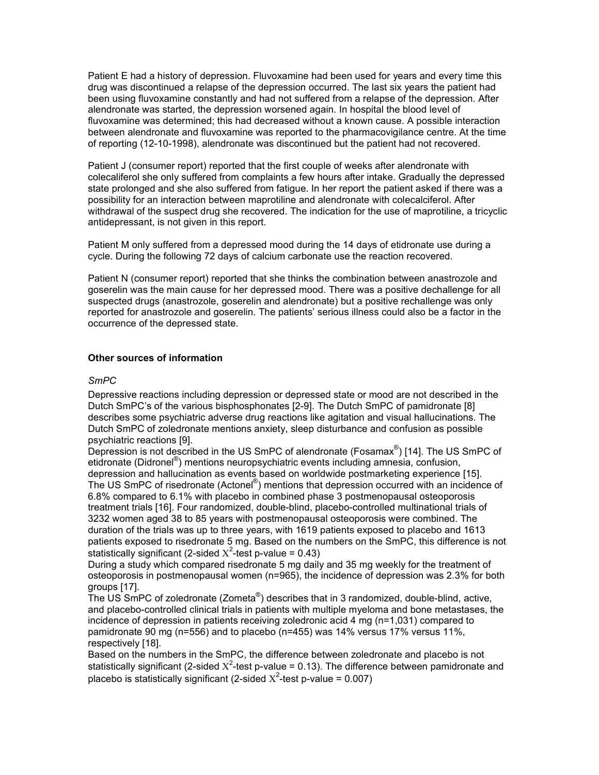Patient E had a history of depression. Fluvoxamine had been used for years and every time this drug was discontinued a relapse of the depression occurred. The last six years the patient had been using fluvoxamine constantly and had not suffered from a relapse of the depression. After alendronate was started, the depression worsened again. In hospital the blood level of fluvoxamine was determined; this had decreased without a known cause. A possible interaction between alendronate and fluvoxamine was reported to the pharmacovigilance centre. At the time of reporting (12-10-1998), alendronate was discontinued but the patient had not recovered.

Patient J (consumer report) reported that the first couple of weeks after alendronate with colecaliferol she only suffered from complaints a few hours after intake. Gradually the depressed state prolonged and she also suffered from fatigue. In her report the patient asked if there was a possibility for an interaction between maprotiline and alendronate with colecalciferol. After withdrawal of the suspect drug she recovered. The indication for the use of maprotiline, a tricyclic antidepressant, is not given in this report.

Patient M only suffered from a depressed mood during the 14 days of etidronate use during a cycle. During the following 72 days of calcium carbonate use the reaction recovered.

Patient N (consumer report) reported that she thinks the combination between anastrozole and goserelin was the main cause for her depressed mood. There was a positive dechallenge for all suspected drugs (anastrozole, goserelin and alendronate) but a positive rechallenge was only reported for anastrozole and goserelin. The patients' serious illness could also be a factor in the occurrence of the depressed state.

## Other sources of information

## SmPC

Depressive reactions including depression or depressed state or mood are not described in the Dutch SmPC's of the various bisphosphonates [2-9]. The Dutch SmPC of pamidronate [8] describes some psychiatric adverse drug reactions like agitation and visual hallucinations. The Dutch SmPC of zoledronate mentions anxiety, sleep disturbance and confusion as possible psychiatric reactions [9].

Depression is not described in the US SmPC of alendronate (Fosamax<sup>®</sup>) [14]. The US SmPC of etidronate (Didronel<sup>®</sup>) mentions neuropsychiatric events including amnesia, confusion, depression and hallucination as events based on worldwide postmarketing experience [15]. The US SmPC of risedronate (Actonel<sup>®</sup>) mentions that depression occurred with an incidence of 6.8% compared to 6.1% with placebo in combined phase 3 postmenopausal osteoporosis treatment trials [16]. Four randomized, double-blind, placebo-controlled multinational trials of 3232 women aged 38 to 85 years with postmenopausal osteoporosis were combined. The duration of the trials was up to three years, with 1619 patients exposed to placebo and 1613 patients exposed to risedronate 5 mg. Based on the numbers on the SmPC, this difference is not statistically significant (2-sided  $X^2$ -test p-value = 0.43)

During a study which compared risedronate 5 mg daily and 35 mg weekly for the treatment of osteoporosis in postmenopausal women (n=965), the incidence of depression was 2.3% for both groups [17].

The US SmPC of zoledronate (Zometa® ) describes that in 3 randomized, double-blind, active, and placebo-controlled clinical trials in patients with multiple myeloma and bone metastases, the incidence of depression in patients receiving zoledronic acid 4 mg (n=1,031) compared to pamidronate 90 mg (n=556) and to placebo (n=455) was 14% versus 17% versus 11%, respectively [18].

Based on the numbers in the SmPC, the difference between zoledronate and placebo is not statistically significant (2-sided  $X^2$ -test p-value = 0.13). The difference between pamidronate and placebo is statistically significant (2-sided  $X^2$ -test p-value = 0.007)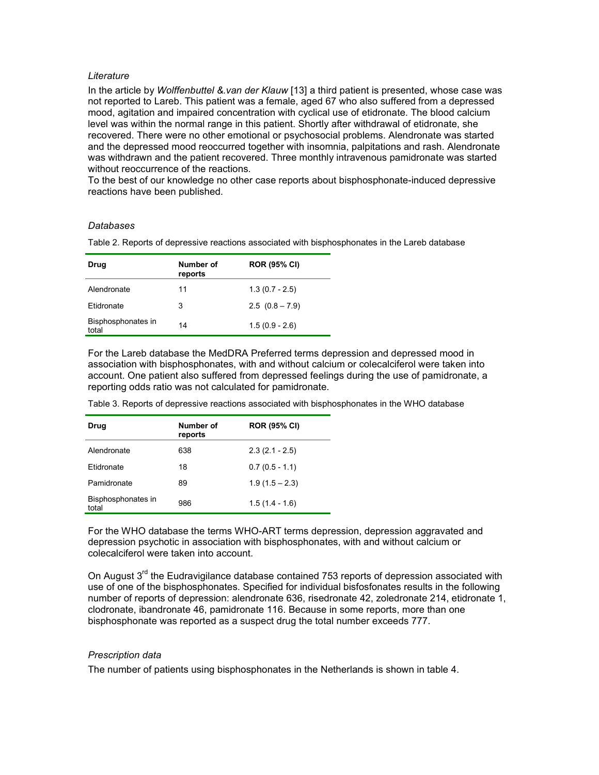### **Literature**

In the article by Wolffenbuttel & van der Klauw [13] a third patient is presented, whose case was not reported to Lareb. This patient was a female, aged 67 who also suffered from a depressed mood, agitation and impaired concentration with cyclical use of etidronate. The blood calcium level was within the normal range in this patient. Shortly after withdrawal of etidronate, she recovered. There were no other emotional or psychosocial problems. Alendronate was started and the depressed mood reoccurred together with insomnia, palpitations and rash. Alendronate was withdrawn and the patient recovered. Three monthly intravenous pamidronate was started without reoccurrence of the reactions.

To the best of our knowledge no other case reports about bisphosphonate-induced depressive reactions have been published.

#### Databases

Table 2. Reports of depressive reactions associated with bisphosphonates in the Lareb database

| Drug                        | Number of<br>reports | <b>ROR (95% CI)</b> |
|-----------------------------|----------------------|---------------------|
| Alendronate                 | 11                   | $1.3(0.7 - 2.5)$    |
| Etidronate                  | 3                    | $2.5(0.8 - 7.9)$    |
| Bisphosphonates in<br>total | 14                   | $1.5(0.9 - 2.6)$    |

For the Lareb database the MedDRA Preferred terms depression and depressed mood in association with bisphosphonates, with and without calcium or colecalciferol were taken into account. One patient also suffered from depressed feelings during the use of pamidronate, a reporting odds ratio was not calculated for pamidronate.

Table 3. Reports of depressive reactions associated with bisphosphonates in the WHO database

| Drug                        | Number of<br>reports | <b>ROR (95% CI)</b> |
|-----------------------------|----------------------|---------------------|
| Alendronate                 | 638                  | $2.3(2.1 - 2.5)$    |
| Etidronate                  | 18                   | $0.7(0.5 - 1.1)$    |
| Pamidronate                 | 89                   | $1.9(1.5 - 2.3)$    |
| Bisphosphonates in<br>total | 986                  | $1.5(1.4 - 1.6)$    |

For the WHO database the terms WHO-ART terms depression, depression aggravated and depression psychotic in association with bisphosphonates, with and without calcium or colecalciferol were taken into account.

On August  $3<sup>rd</sup>$  the Eudravigilance database contained 753 reports of depression associated with use of one of the bisphosphonates. Specified for individual bisfosfonates results in the following number of reports of depression: alendronate 636, risedronate 42, zoledronate 214, etidronate 1, clodronate, ibandronate 46, pamidronate 116. Because in some reports, more than one bisphosphonate was reported as a suspect drug the total number exceeds 777.

## Prescription data

The number of patients using bisphosphonates in the Netherlands is shown in table 4.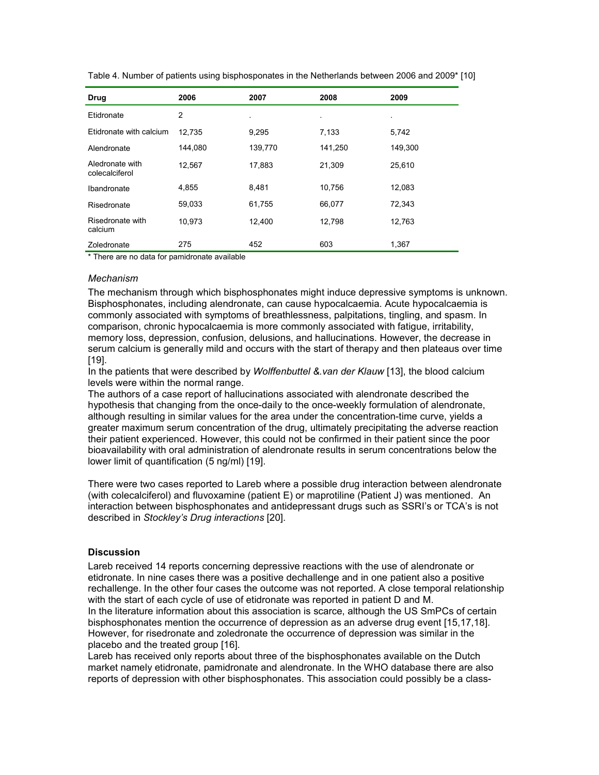| <b>Drug</b>                                                                  | 2006    | 2007    | 2008    | 2009    |
|------------------------------------------------------------------------------|---------|---------|---------|---------|
| Etidronate                                                                   | 2       |         | ٠       |         |
| Etidronate with calcium                                                      | 12,735  | 9,295   | 7,133   | 5.742   |
| Alendronate                                                                  | 144,080 | 139,770 | 141,250 | 149,300 |
| Aledronate with<br>colecalciferol                                            | 12,567  | 17,883  | 21,309  | 25,610  |
| Ibandronate                                                                  | 4,855   | 8,481   | 10,756  | 12,083  |
| Risedronate                                                                  | 59,033  | 61,755  | 66,077  | 72,343  |
| Risedronate with<br>calcium                                                  | 10.973  | 12.400  | 12,798  | 12,763  |
| Zoledronate<br>φ προσωπιστο στο chemical formation of the control of the big | 275     | 452     | 603     | 1,367   |

Table 4. Number of patients using bisphosponates in the Netherlands between 2006 and 2009\* [10]

There are no data for pamidronate available

#### Mechanism

The mechanism through which bisphosphonates might induce depressive symptoms is unknown. Bisphosphonates, including alendronate, can cause hypocalcaemia. Acute hypocalcaemia is commonly associated with symptoms of breathlessness, palpitations, tingling, and spasm. In comparison, chronic hypocalcaemia is more commonly associated with fatigue, irritability, memory loss, depression, confusion, delusions, and hallucinations. However, the decrease in serum calcium is generally mild and occurs with the start of therapy and then plateaus over time [19].

In the patients that were described by Wolffenbuttel & van der Klauw [13], the blood calcium levels were within the normal range.

The authors of a case report of hallucinations associated with alendronate described the hypothesis that changing from the once-daily to the once-weekly formulation of alendronate, although resulting in similar values for the area under the concentration-time curve, yields a greater maximum serum concentration of the drug, ultimately precipitating the adverse reaction their patient experienced. However, this could not be confirmed in their patient since the poor bioavailability with oral administration of alendronate results in serum concentrations below the lower limit of quantification (5 ng/ml) [19].

There were two cases reported to Lareb where a possible drug interaction between alendronate (with colecalciferol) and fluvoxamine (patient E) or maprotiline (Patient J) was mentioned. An interaction between bisphosphonates and antidepressant drugs such as SSRI's or TCA's is not described in Stockley's Drug interactions [20].

## Discussion

Lareb received 14 reports concerning depressive reactions with the use of alendronate or etidronate. In nine cases there was a positive dechallenge and in one patient also a positive rechallenge. In the other four cases the outcome was not reported. A close temporal relationship with the start of each cycle of use of etidronate was reported in patient D and M. In the literature information about this association is scarce, although the US SmPCs of certain bisphosphonates mention the occurrence of depression as an adverse drug event [15,17,18]. However, for risedronate and zoledronate the occurrence of depression was similar in the placebo and the treated group [16].

Lareb has received only reports about three of the bisphosphonates available on the Dutch market namely etidronate, pamidronate and alendronate. In the WHO database there are also reports of depression with other bisphosphonates. This association could possibly be a class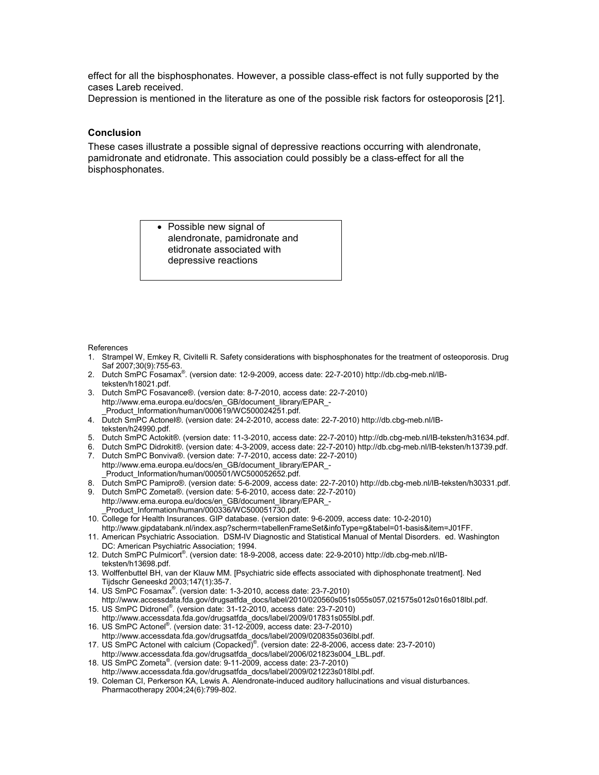effect for all the bisphosphonates. However, a possible class-effect is not fully supported by the cases Lareb received.

Depression is mentioned in the literature as one of the possible risk factors for osteoporosis [21].

### Conclusion

These cases illustrate a possible signal of depressive reactions occurring with alendronate, pamidronate and etidronate. This association could possibly be a class-effect for all the bisphosphonates.

> • Possible new signal of alendronate, pamidronate and etidronate associated with depressive reactions

References

- 1. Strampel W, Emkey R, Civitelli R. Safety considerations with bisphosphonates for the treatment of osteoporosis. Drug Saf 2007;30(9):755-63.
- 2. Dutch SmPC Fosamax® . (version date: 12-9-2009, access date: 22-7-2010) http://db.cbg-meb.nl/IBteksten/h18021.pdf.
- 3. Dutch SmPC Fosavance®. (version date: 8-7-2010, access date: 22-7-2010) http://www.ema.europa.eu/docs/en\_GB/document\_library/EPAR\_- Product\_Information/human/000619/WC500024251.pdf.
- 4. Dutch SmPC Actonel®. (version date: 24-2-2010, access date: 22-7-2010) http://db.cbg-meb.nl/IBteksten/h24990.pdf.
- 5. Dutch SmPC Actokit®. (version date: 11-3-2010, access date: 22-7-2010) http://db.cbg-meb.nl/IB-teksten/h31634.pdf.
- 6. Dutch SmPC Didrokit®. (version date: 4-3-2009, access date: 22-7-2010) http://db.cbg-meb.nl/IB-teksten/h13739.pdf.
- 7. Dutch SmPC Bonviva®. (version date: 7-7-2010, access date: 22-7-2010) http://www.ema.europa.eu/docs/en\_GB/document\_library/EPAR\_- \_Product\_Information/human/000501/WC500052652.pdf.
- 8. Dutch SmPC Pamipro®. (version date: 5-6-2009, access date: 22-7-2010) http://db.cbg-meb.nl/IB-teksten/h30331.pdf. 9. Dutch SmPC Zometa®. (version date: 5-6-2010, access date: 22-7-2010)
- http://www.ema.europa.eu/docs/en\_GB/document\_library/EPAR\_- \_Product\_Information/human/000336/WC500051730.pdf.
- 10. College for Health Insurances. GIP database. (version date: 9-6-2009, access date: 10-2-2010) http://www.gipdatabank.nl/index.asp?scherm=tabellenFrameSet&infoType=g&tabel=01-basis&item=J01FF.
- 11. American Psychiatric Association. DSM-IV Diagnostic and Statistical Manual of Mental Disorders. ed. Washington DC: American Psychiatric Association; 1994.
- 12. Dutch SmPC Pulmicort® . (version date: 18-9-2008, access date: 22-9-2010) http://db.cbg-meb.nl/IBteksten/h13698.pdf.
- 13. Wolffenbuttel BH, van der Klauw MM. [Psychiatric side effects associated with diphosphonate treatment]. Ned Tijdschr Geneeskd 2003;147(1):35-7.
- 14. US SmPC Fosamax® . (version date: 1-3-2010, access date: 23-7-2010) http://www.accessdata.fda.gov/drugsatfda\_docs/label/2010/020560s051s055s057,021575s012s016s018lbl.pdf.
- 15. US SmPC Didronel® . (version date: 31-12-2010, access date: 23-7-2010) http://www.accessdata.fda.gov/drugsatfda\_docs/label/2009/017831s055lbl.pdf.
- 16. US SmPC Actonel® . (version date: 31-12-2009, access date: 23-7-2010) http://www.accessdata.fda.gov/drugsatfda\_docs/label/2009/020835s036lbl.pdf.
- 17. US SmPC Actonel with calcium (Copacked)® . (version date: 22-8-2006, access date: 23-7-2010)
- http://www.accessdata.fda.gov/drugsatfda\_docs/label/2006/021823s004\_LBL.pdf.
- 18. US SmPC Zometa® . (version date: 9-11-2009, access date: 23-7-2010) http://www.accessdata.fda.gov/drugsatfda\_docs/label/2009/021223s018lbl.pdf.
- 19. Coleman CI, Perkerson KA, Lewis A. Alendronate-induced auditory hallucinations and visual disturbances. Pharmacotherapy 2004;24(6):799-802.